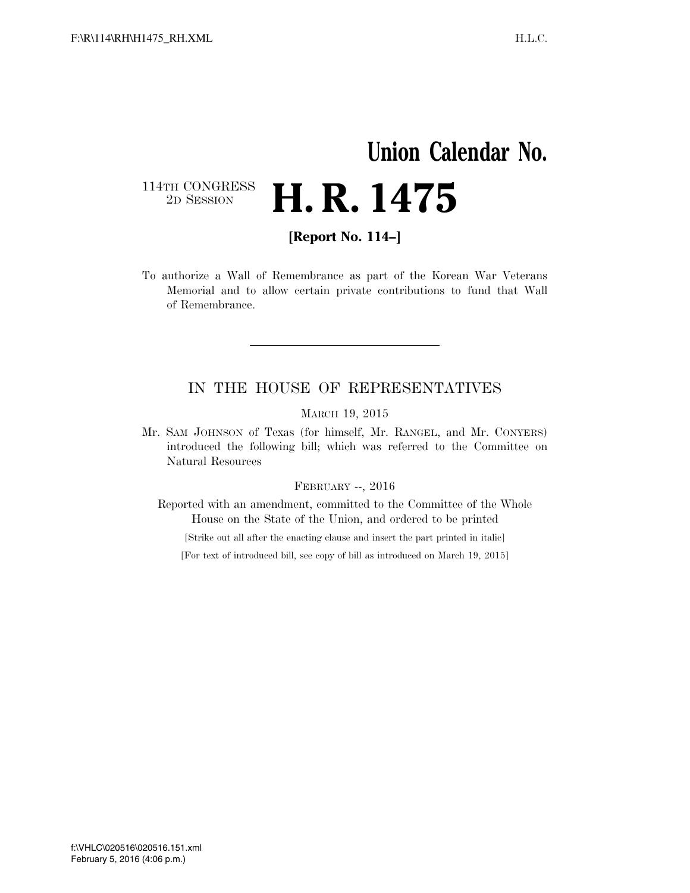### **Union Calendar No.**  114TH CONGRESS<br>2D SESSION 2D SESSION **H. R. 1475**

**[Report No. 114–]** 

To authorize a Wall of Remembrance as part of the Korean War Veterans Memorial and to allow certain private contributions to fund that Wall of Remembrance.

### IN THE HOUSE OF REPRESENTATIVES

MARCH 19, 2015

Mr. SAM JOHNSON of Texas (for himself, Mr. RANGEL, and Mr. CONYERS) introduced the following bill; which was referred to the Committee on Natural Resources

#### FEBRUARY --, 2016

Reported with an amendment, committed to the Committee of the Whole House on the State of the Union, and ordered to be printed

[Strike out all after the enacting clause and insert the part printed in italic]

[For text of introduced bill, see copy of bill as introduced on March 19, 2015]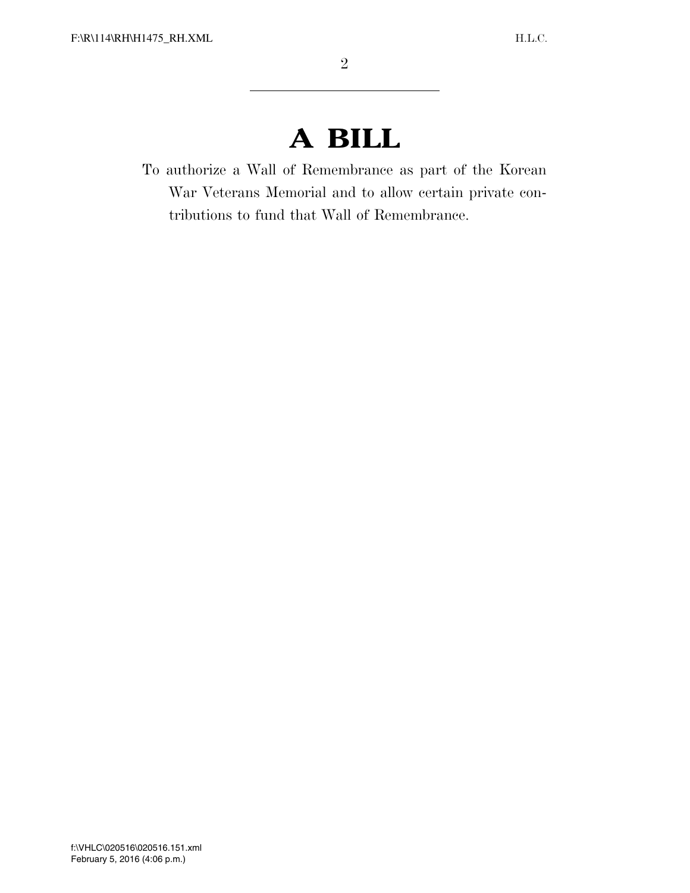## **A BILL**

To authorize a Wall of Remembrance as part of the Korean War Veterans Memorial and to allow certain private contributions to fund that Wall of Remembrance.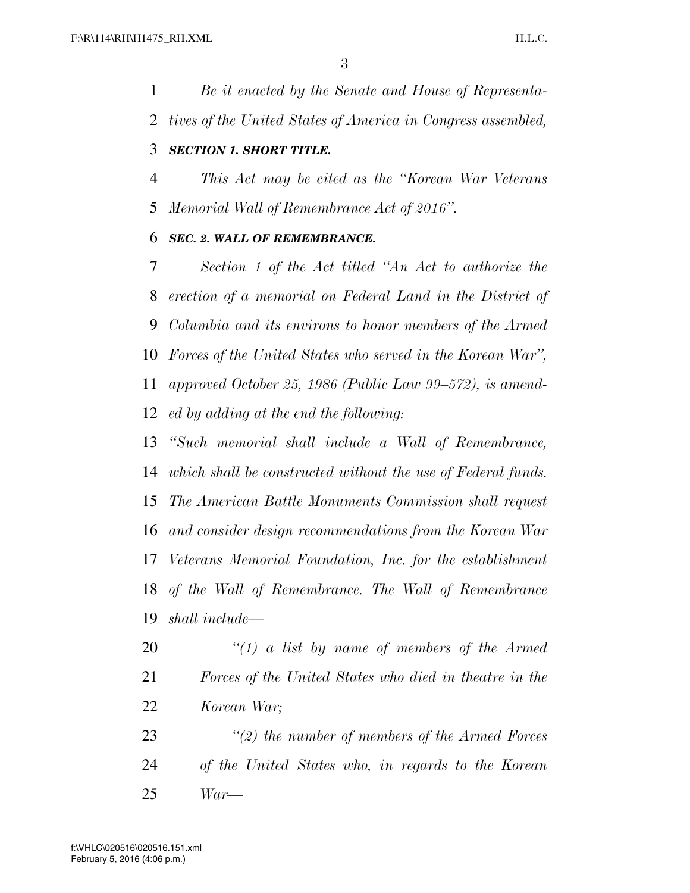*Be it enacted by the Senate and House of Representa- tives of the United States of America in Congress assembled, SECTION 1. SHORT TITLE.* 

# *This Act may be cited as the ''Korean War Veterans*

*Memorial Wall of Remembrance Act of 2016''.* 

### *SEC. 2. WALL OF REMEMBRANCE.*

 *Section 1 of the Act titled ''An Act to authorize the erection of a memorial on Federal Land in the District of Columbia and its environs to honor members of the Armed Forces of the United States who served in the Korean War'', approved October 25, 1986 (Public Law 99–572), is amend-ed by adding at the end the following:* 

 *''Such memorial shall include a Wall of Remembrance, which shall be constructed without the use of Federal funds. The American Battle Monuments Commission shall request and consider design recommendations from the Korean War Veterans Memorial Foundation, Inc. for the establishment of the Wall of Remembrance. The Wall of Remembrance shall include—* 

 *''(1) a list by name of members of the Armed Forces of the United States who died in theatre in the Korean War;* 

 *''(2) the number of members of the Armed Forces of the United States who, in regards to the Korean War—*